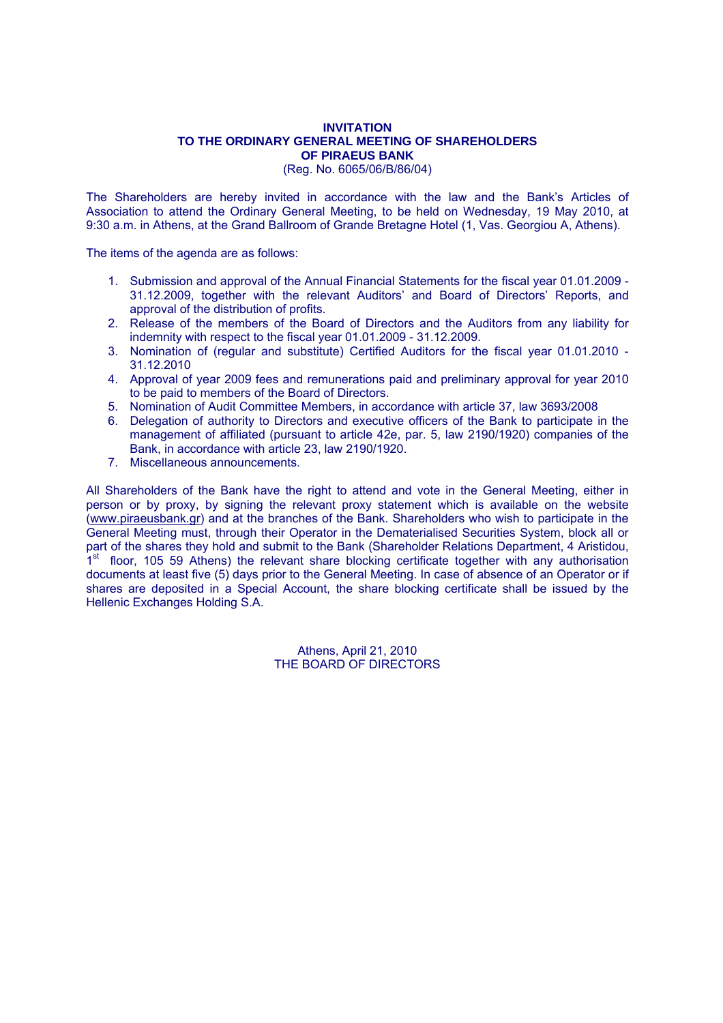## **INVITATION TO THE ORDINARY GENERAL MEETING OF SHAREHOLDERS OF PIRAEUS BANK**

(Reg. No. 6065/06/Β/86/04)

The Shareholders are hereby invited in accordance with the law and the Bank's Articles of Association to attend the Ordinary General Meeting, to be held on Wednesday, 19 May 2010, at 9:30 a.m. in Athens, at the Grand Ballroom of Grande Bretagne Hotel (1, Vas. Georgiou Α, Athens).

The items of the agenda are as follows:

- 1. Submission and approval of the Annual Financial Statements for the fiscal year 01.01.2009 31.12.2009, together with the relevant Auditors' and Board of Directors' Reports, and approval of the distribution of profits.
- 2. Release of the members of the Board of Directors and the Auditors from any liability for indemnity with respect to the fiscal year 01.01.2009 - 31.12.2009.
- 3. Nomination of (regular and substitute) Certified Auditors for the fiscal year 01.01.2010 31.12.2010
- 4. Approval of year 2009 fees and remunerations paid and preliminary approval for year 2010 to be paid to members of the Board of Directors.
- 5. Nomination of Audit Committee Members, in accordance with article 37, law 3693/2008
- 6. Delegation of authority to Directors and executive officers of the Bank to participate in the management of affiliated (pursuant to article 42e, par. 5, law 2190/1920) companies of the Bank, in accordance with article 23, law 2190/1920.
- 7. Miscellaneous announcements.

All Shareholders of the Bank have the right to attend and vote in the General Meeting, either in person or by proxy, by signing the relevant proxy statement which is available on the website (www.piraeusbank.gr) and at the branches of the Bank. Shareholders who wish to participate in the General Meeting must, through their Operator in the Dematerialised Securities System, block all or part of the shares they hold and submit to the Bank (Shareholder Relations Department, 4 Aristidou, 1<sup>st</sup> floor, 105 59 Athens) the relevant share blocking certificate together with any authorisation documents at least five (5) days prior to the General Meeting. In case of absence of an Operator or if shares are deposited in a Special Account, the share blocking certificate shall be issued by the Hellenic Exchanges Holding S.A.

> Athens, April 21, 2010 THE BOARD OF DIRECTORS